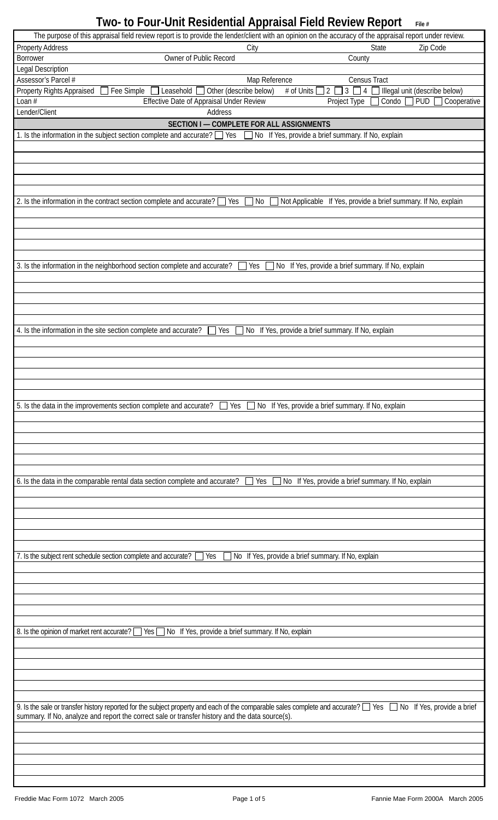| The purpose of this appraisal field review report is to provide the lender/client with an opinion on the accuracy of the appraisal report under review.                                                                               |                                                                                                                                                                                       |
|---------------------------------------------------------------------------------------------------------------------------------------------------------------------------------------------------------------------------------------|---------------------------------------------------------------------------------------------------------------------------------------------------------------------------------------|
| <b>Property Address</b>                                                                                                                                                                                                               | State<br>Zip Code<br>City                                                                                                                                                             |
| Owner of Public Record<br><b>Borrower</b>                                                                                                                                                                                             | County                                                                                                                                                                                |
| Legal Description                                                                                                                                                                                                                     |                                                                                                                                                                                       |
| Assessor's Parcel #                                                                                                                                                                                                                   | Map Reference<br>Census Tract                                                                                                                                                         |
| Fee Simple<br>Other (describe below)<br>Property Rights Appraised<br>Leasehold<br>Loan $#$<br>Effective Date of Appraisal Under Review                                                                                                | # of Units<br>$\overline{2}$<br>Illegal unit (describe below)<br>3 <sup>1</sup><br>$\Box$ 4 $\Box$<br>$\boxed{\text{PUD}}$ $\boxed{\phantom{0}}$ Cooperative<br>Project Type<br>Condo |
| Lender/Client<br>Address                                                                                                                                                                                                              |                                                                                                                                                                                       |
| SECTION I - COMPLETE FOR ALL ASSIGNMENTS                                                                                                                                                                                              |                                                                                                                                                                                       |
| 1. Is the information in the subject section complete and accurate? Similary Pescould Morget Ares, provide a brief summary. If No, explain                                                                                            |                                                                                                                                                                                       |
|                                                                                                                                                                                                                                       |                                                                                                                                                                                       |
|                                                                                                                                                                                                                                       |                                                                                                                                                                                       |
|                                                                                                                                                                                                                                       |                                                                                                                                                                                       |
|                                                                                                                                                                                                                                       |                                                                                                                                                                                       |
|                                                                                                                                                                                                                                       |                                                                                                                                                                                       |
| 2. Is the information in the contract section complete and accurate? $\Box$<br>Yes                                                                                                                                                    | Not Applicable If Yes, provide a brief summary. If No, explain<br>$\Box$ No                                                                                                           |
|                                                                                                                                                                                                                                       |                                                                                                                                                                                       |
|                                                                                                                                                                                                                                       |                                                                                                                                                                                       |
|                                                                                                                                                                                                                                       |                                                                                                                                                                                       |
|                                                                                                                                                                                                                                       |                                                                                                                                                                                       |
| 3. Is the information in the neighborhood section complete and accurate?                                                                                                                                                              | Yes<br>No If Yes, provide a brief summary. If No, explain                                                                                                                             |
|                                                                                                                                                                                                                                       |                                                                                                                                                                                       |
|                                                                                                                                                                                                                                       |                                                                                                                                                                                       |
|                                                                                                                                                                                                                                       |                                                                                                                                                                                       |
|                                                                                                                                                                                                                                       |                                                                                                                                                                                       |
|                                                                                                                                                                                                                                       |                                                                                                                                                                                       |
| 4. Is the information in the site section complete and accurate?<br>Yes                                                                                                                                                               | No If Yes, provide a brief summary. If No, explain                                                                                                                                    |
|                                                                                                                                                                                                                                       |                                                                                                                                                                                       |
|                                                                                                                                                                                                                                       |                                                                                                                                                                                       |
|                                                                                                                                                                                                                                       |                                                                                                                                                                                       |
|                                                                                                                                                                                                                                       |                                                                                                                                                                                       |
|                                                                                                                                                                                                                                       |                                                                                                                                                                                       |
| 5. Is the data in the improvements section complete and accurate?<br>Yes                                                                                                                                                              | No If Yes, provide a brief summary. If No, explain                                                                                                                                    |
|                                                                                                                                                                                                                                       |                                                                                                                                                                                       |
|                                                                                                                                                                                                                                       |                                                                                                                                                                                       |
|                                                                                                                                                                                                                                       |                                                                                                                                                                                       |
|                                                                                                                                                                                                                                       |                                                                                                                                                                                       |
|                                                                                                                                                                                                                                       |                                                                                                                                                                                       |
| 6. Is the data in the comparable rental data section complete and accurate?                                                                                                                                                           | Yes<br>No If Yes, provide a brief summary. If No, explain<br>$\blacksquare$                                                                                                           |
|                                                                                                                                                                                                                                       |                                                                                                                                                                                       |
|                                                                                                                                                                                                                                       |                                                                                                                                                                                       |
|                                                                                                                                                                                                                                       |                                                                                                                                                                                       |
|                                                                                                                                                                                                                                       |                                                                                                                                                                                       |
|                                                                                                                                                                                                                                       |                                                                                                                                                                                       |
| 7. Is the subject rent schedule section complete and accurate?<br>Yes                                                                                                                                                                 | No If Yes, provide a brief summary. If No, explain                                                                                                                                    |
|                                                                                                                                                                                                                                       |                                                                                                                                                                                       |
|                                                                                                                                                                                                                                       |                                                                                                                                                                                       |
|                                                                                                                                                                                                                                       |                                                                                                                                                                                       |
|                                                                                                                                                                                                                                       |                                                                                                                                                                                       |
|                                                                                                                                                                                                                                       |                                                                                                                                                                                       |
| 8. Is the opinion of market rent accurate?<br>No If Yes, provide a brief summary. If No, explain<br>Yes $\Box$                                                                                                                        |                                                                                                                                                                                       |
|                                                                                                                                                                                                                                       |                                                                                                                                                                                       |
|                                                                                                                                                                                                                                       |                                                                                                                                                                                       |
|                                                                                                                                                                                                                                       |                                                                                                                                                                                       |
|                                                                                                                                                                                                                                       |                                                                                                                                                                                       |
|                                                                                                                                                                                                                                       |                                                                                                                                                                                       |
|                                                                                                                                                                                                                                       |                                                                                                                                                                                       |
| 9. Is the sale or transfer history reported for the subject property and each of the comparable sales complete and accurate? T Yes<br>summary. If No, analyze and report the correct sale or transfer history and the data source(s). | No If Yes, provide a brief                                                                                                                                                            |
|                                                                                                                                                                                                                                       |                                                                                                                                                                                       |
|                                                                                                                                                                                                                                       |                                                                                                                                                                                       |
|                                                                                                                                                                                                                                       |                                                                                                                                                                                       |
|                                                                                                                                                                                                                                       |                                                                                                                                                                                       |
|                                                                                                                                                                                                                                       |                                                                                                                                                                                       |
|                                                                                                                                                                                                                                       |                                                                                                                                                                                       |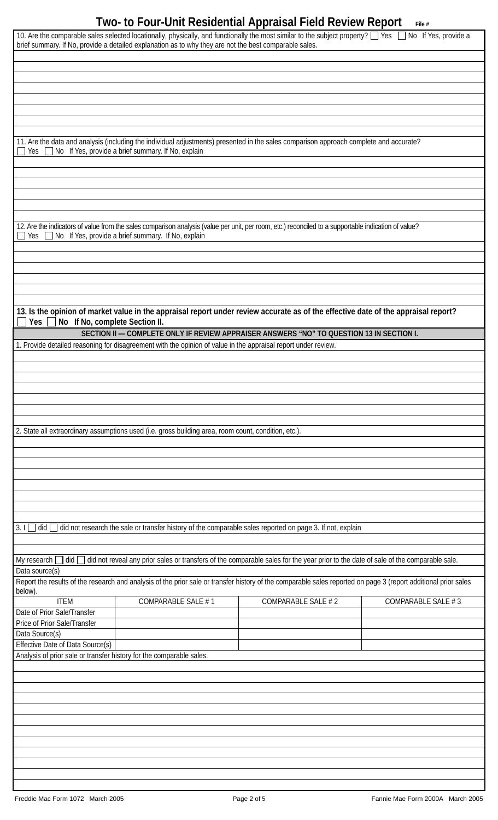| 10. Are the comparable sales selected locationally, physically, and functionally the most similar to the subject property? [ Yes $\Box$ No If Yes, provide a<br>brief summary. If No, provide a detailed explanation as to why they are not the best comparable sales. |                                                                                                                                                                 |                    |                    |  |  |  |  |  |
|------------------------------------------------------------------------------------------------------------------------------------------------------------------------------------------------------------------------------------------------------------------------|-----------------------------------------------------------------------------------------------------------------------------------------------------------------|--------------------|--------------------|--|--|--|--|--|
|                                                                                                                                                                                                                                                                        |                                                                                                                                                                 |                    |                    |  |  |  |  |  |
|                                                                                                                                                                                                                                                                        |                                                                                                                                                                 |                    |                    |  |  |  |  |  |
|                                                                                                                                                                                                                                                                        |                                                                                                                                                                 |                    |                    |  |  |  |  |  |
|                                                                                                                                                                                                                                                                        |                                                                                                                                                                 |                    |                    |  |  |  |  |  |
| 11. Are the data and analysis (including the individual adjustments) presented in the sales comparison approach complete and accurate?<br>No If Yes, provide a brief summary. If No, explain<br>Yes                                                                    |                                                                                                                                                                 |                    |                    |  |  |  |  |  |
|                                                                                                                                                                                                                                                                        |                                                                                                                                                                 |                    |                    |  |  |  |  |  |
|                                                                                                                                                                                                                                                                        |                                                                                                                                                                 |                    |                    |  |  |  |  |  |
|                                                                                                                                                                                                                                                                        |                                                                                                                                                                 |                    |                    |  |  |  |  |  |
|                                                                                                                                                                                                                                                                        | 12. Are the indicators of value from the sales comparison analysis (value per unit, per room, etc.) reconciled to a supportable indication of value?            |                    |                    |  |  |  |  |  |
| Yes                                                                                                                                                                                                                                                                    | No If Yes, provide a brief summary. If No, explain                                                                                                              |                    |                    |  |  |  |  |  |
|                                                                                                                                                                                                                                                                        |                                                                                                                                                                 |                    |                    |  |  |  |  |  |
|                                                                                                                                                                                                                                                                        |                                                                                                                                                                 |                    |                    |  |  |  |  |  |
|                                                                                                                                                                                                                                                                        |                                                                                                                                                                 |                    |                    |  |  |  |  |  |
| No If No, complete Section II.<br>Yes                                                                                                                                                                                                                                  | 13. Is the opinion of market value in the appraisal report under review accurate as of the effective date of the appraisal report?                              |                    |                    |  |  |  |  |  |
|                                                                                                                                                                                                                                                                        | SECTION II - COMPLETE ONLY IF REVIEW APPRAISER ANSWERS "NO" TO QUESTION 13 IN SECTION I.                                                                        |                    |                    |  |  |  |  |  |
|                                                                                                                                                                                                                                                                        | 1. Provide detailed reasoning for disagreement with the opinion of value in the appraisal report under review.                                                  |                    |                    |  |  |  |  |  |
|                                                                                                                                                                                                                                                                        |                                                                                                                                                                 |                    |                    |  |  |  |  |  |
|                                                                                                                                                                                                                                                                        |                                                                                                                                                                 |                    |                    |  |  |  |  |  |
|                                                                                                                                                                                                                                                                        |                                                                                                                                                                 |                    |                    |  |  |  |  |  |
|                                                                                                                                                                                                                                                                        |                                                                                                                                                                 |                    |                    |  |  |  |  |  |
|                                                                                                                                                                                                                                                                        |                                                                                                                                                                 |                    |                    |  |  |  |  |  |
|                                                                                                                                                                                                                                                                        | 2. State all extraordinary assumptions used (i.e. gross building area, room count, condition, etc.).                                                            |                    |                    |  |  |  |  |  |
|                                                                                                                                                                                                                                                                        |                                                                                                                                                                 |                    |                    |  |  |  |  |  |
|                                                                                                                                                                                                                                                                        |                                                                                                                                                                 |                    |                    |  |  |  |  |  |
|                                                                                                                                                                                                                                                                        |                                                                                                                                                                 |                    |                    |  |  |  |  |  |
|                                                                                                                                                                                                                                                                        |                                                                                                                                                                 |                    |                    |  |  |  |  |  |
|                                                                                                                                                                                                                                                                        |                                                                                                                                                                 |                    |                    |  |  |  |  |  |
| 3.1<br>did not research the sale or transfer history of the comparable sales reported on page 3. If not, explain<br>did                                                                                                                                                |                                                                                                                                                                 |                    |                    |  |  |  |  |  |
| My research  <br>did not reveal any prior sales or transfers of the comparable sales for the year prior to the date of sale of the comparable sale.<br>did<br>Data source(s)                                                                                           |                                                                                                                                                                 |                    |                    |  |  |  |  |  |
| below).                                                                                                                                                                                                                                                                | Report the results of the research and analysis of the prior sale or transfer history of the comparable sales reported on page 3 (report additional prior sales |                    |                    |  |  |  |  |  |
| <b>ITEM</b>                                                                                                                                                                                                                                                            | COMPARABLE SALE #1                                                                                                                                              | COMPARABLE SALE #2 | COMPARABLE SALE #3 |  |  |  |  |  |
| Date of Prior Sale/Transfer                                                                                                                                                                                                                                            |                                                                                                                                                                 |                    |                    |  |  |  |  |  |
| Price of Prior Sale/Transfer<br>Data Source(s)                                                                                                                                                                                                                         |                                                                                                                                                                 |                    |                    |  |  |  |  |  |
| Effective Date of Data Source(s)                                                                                                                                                                                                                                       |                                                                                                                                                                 |                    |                    |  |  |  |  |  |
| Analysis of prior sale or transfer history for the comparable sales.                                                                                                                                                                                                   |                                                                                                                                                                 |                    |                    |  |  |  |  |  |
|                                                                                                                                                                                                                                                                        |                                                                                                                                                                 |                    |                    |  |  |  |  |  |
|                                                                                                                                                                                                                                                                        |                                                                                                                                                                 |                    |                    |  |  |  |  |  |
|                                                                                                                                                                                                                                                                        |                                                                                                                                                                 |                    |                    |  |  |  |  |  |
|                                                                                                                                                                                                                                                                        |                                                                                                                                                                 |                    |                    |  |  |  |  |  |
|                                                                                                                                                                                                                                                                        |                                                                                                                                                                 |                    |                    |  |  |  |  |  |
|                                                                                                                                                                                                                                                                        |                                                                                                                                                                 |                    |                    |  |  |  |  |  |
|                                                                                                                                                                                                                                                                        |                                                                                                                                                                 |                    |                    |  |  |  |  |  |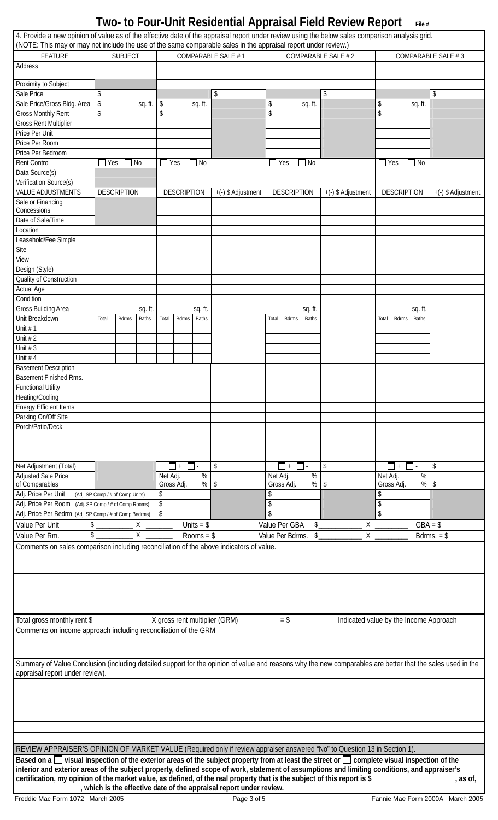| 4. Provide a new opinion of value as of the effective date of the appraisal report under review using the below sales comparison analysis grid.<br>(NOTE: This may or may not include the use of the same comparable sales in the appraisal report under review.) |                                  |                    |                |                        |                    |             |                                                                     |             |                    |                |                                        |                    |                              |                    |
|-------------------------------------------------------------------------------------------------------------------------------------------------------------------------------------------------------------------------------------------------------------------|----------------------------------|--------------------|----------------|------------------------|--------------------|-------------|---------------------------------------------------------------------|-------------|--------------------|----------------|----------------------------------------|--------------------|------------------------------|--------------------|
| <b>FEATURE</b><br>Address                                                                                                                                                                                                                                         |                                  | <b>SUBJECT</b>     |                | COMPARABLE SALE #1     |                    |             | COMPARABLE SALE # 2                                                 |             |                    |                |                                        | COMPARABLE SALE #3 |                              |                    |
| Proximity to Subject                                                                                                                                                                                                                                              |                                  |                    |                |                        |                    |             |                                                                     |             |                    |                |                                        |                    |                              |                    |
| Sale Price                                                                                                                                                                                                                                                        | \$                               |                    |                |                        |                    |             | \$                                                                  |             |                    |                | \$                                     |                    |                              | \$                 |
| Sale Price/Gross Bldg. Area                                                                                                                                                                                                                                       | $\boldsymbol{\$}$                |                    | sq. ft.        | \$                     |                    | sq. ft.     |                                                                     | \$          |                    | sq. ft.        |                                        | \$                 | sq. ft.                      |                    |
| <b>Gross Monthly Rent</b>                                                                                                                                                                                                                                         | \$                               |                    |                | \$                     |                    |             |                                                                     | \$          |                    |                |                                        | \$                 |                              |                    |
| <b>Gross Rent Multiplier</b>                                                                                                                                                                                                                                      |                                  |                    |                |                        |                    |             |                                                                     |             |                    |                |                                        |                    |                              |                    |
| Price Per Unit                                                                                                                                                                                                                                                    |                                  |                    |                |                        |                    |             |                                                                     |             |                    |                |                                        |                    |                              |                    |
| Price Per Room                                                                                                                                                                                                                                                    |                                  |                    |                |                        |                    |             |                                                                     |             |                    |                |                                        |                    |                              |                    |
| Price Per Bedroom<br><b>Rent Control</b>                                                                                                                                                                                                                          | $\Box$ Yes                       | $\Box$ No          |                |                        | Yes                | $\Box$ No   |                                                                     |             | $\exists$ Yes      | N <sub>0</sub> |                                        | $\Box$ Yes         | $\Box$ No                    |                    |
| Data Source(s)                                                                                                                                                                                                                                                    |                                  |                    |                |                        |                    |             |                                                                     |             |                    |                |                                        |                    |                              |                    |
| Verification Source(s)                                                                                                                                                                                                                                            |                                  |                    |                |                        |                    |             |                                                                     |             |                    |                |                                        |                    |                              |                    |
| <b>VALUE ADJUSTMENTS</b>                                                                                                                                                                                                                                          |                                  | <b>DESCRIPTION</b> |                |                        | <b>DESCRIPTION</b> |             | +(-) \$ Adjustment                                                  |             | <b>DESCRIPTION</b> |                | +(-) \$ Adjustment                     |                    | <b>DESCRIPTION</b>           | +(-) \$ Adjustment |
| Sale or Financing                                                                                                                                                                                                                                                 |                                  |                    |                |                        |                    |             |                                                                     |             |                    |                |                                        |                    |                              |                    |
| Concessions                                                                                                                                                                                                                                                       |                                  |                    |                |                        |                    |             |                                                                     |             |                    |                |                                        |                    |                              |                    |
| Date of Sale/Time                                                                                                                                                                                                                                                 |                                  |                    |                |                        |                    |             |                                                                     |             |                    |                |                                        |                    |                              |                    |
| Location                                                                                                                                                                                                                                                          |                                  |                    |                |                        |                    |             |                                                                     |             |                    |                |                                        |                    |                              |                    |
| Leasehold/Fee Simple                                                                                                                                                                                                                                              |                                  |                    |                |                        |                    |             |                                                                     |             |                    |                |                                        |                    |                              |                    |
| Site                                                                                                                                                                                                                                                              |                                  |                    |                |                        |                    |             |                                                                     |             |                    |                |                                        |                    |                              |                    |
| View                                                                                                                                                                                                                                                              |                                  |                    |                |                        |                    |             |                                                                     |             |                    |                |                                        |                    |                              |                    |
| Design (Style)<br>Quality of Construction                                                                                                                                                                                                                         |                                  |                    |                |                        |                    |             |                                                                     |             |                    |                |                                        |                    |                              |                    |
| <b>Actual Age</b>                                                                                                                                                                                                                                                 |                                  |                    |                |                        |                    |             |                                                                     |             |                    |                |                                        |                    |                              |                    |
| Condition                                                                                                                                                                                                                                                         |                                  |                    |                |                        |                    |             |                                                                     |             |                    |                |                                        |                    |                              |                    |
| <b>Gross Building Area</b>                                                                                                                                                                                                                                        |                                  |                    | sq. ft.        |                        |                    | sq. ft.     |                                                                     |             |                    | sq. ft.        |                                        |                    | sq. ft.                      |                    |
| Unit Breakdown                                                                                                                                                                                                                                                    | Total                            | <b>Bdrms</b>       | <b>Baths</b>   | Total                  | <b>Bdrms</b>       | Baths       |                                                                     | Total       | Bdrms              | <b>Baths</b>   |                                        | Total              | <b>Baths</b><br><b>Bdrms</b> |                    |
| Unit $# 1$                                                                                                                                                                                                                                                        |                                  |                    |                |                        |                    |             |                                                                     |             |                    |                |                                        |                    |                              |                    |
| Unit $# 2$                                                                                                                                                                                                                                                        |                                  |                    |                |                        |                    |             |                                                                     |             |                    |                |                                        |                    |                              |                    |
| Unit $# 3$                                                                                                                                                                                                                                                        |                                  |                    |                |                        |                    |             |                                                                     |             |                    |                |                                        |                    |                              |                    |
| Unit $# 4$                                                                                                                                                                                                                                                        |                                  |                    |                |                        |                    |             |                                                                     |             |                    |                |                                        |                    |                              |                    |
| <b>Basement Description</b>                                                                                                                                                                                                                                       |                                  |                    |                |                        |                    |             |                                                                     |             |                    |                |                                        |                    |                              |                    |
| Basement Finished Rms.                                                                                                                                                                                                                                            |                                  |                    |                |                        |                    |             |                                                                     |             |                    |                |                                        |                    |                              |                    |
| <b>Functional Utility</b>                                                                                                                                                                                                                                         |                                  |                    |                |                        |                    |             |                                                                     |             |                    |                |                                        |                    |                              |                    |
| Heating/Cooling                                                                                                                                                                                                                                                   |                                  |                    |                |                        |                    |             |                                                                     |             |                    |                |                                        |                    |                              |                    |
| <b>Energy Efficient Items</b><br>Parking On/Off Site                                                                                                                                                                                                              |                                  |                    |                |                        |                    |             |                                                                     |             |                    |                |                                        |                    |                              |                    |
| Porch/Patio/Deck                                                                                                                                                                                                                                                  |                                  |                    |                |                        |                    |             |                                                                     |             |                    |                |                                        |                    |                              |                    |
|                                                                                                                                                                                                                                                                   |                                  |                    |                |                        |                    |             |                                                                     |             |                    |                |                                        |                    |                              |                    |
|                                                                                                                                                                                                                                                                   |                                  |                    |                |                        |                    |             |                                                                     |             |                    |                |                                        |                    |                              |                    |
|                                                                                                                                                                                                                                                                   |                                  |                    |                |                        |                    |             |                                                                     |             |                    |                |                                        |                    |                              |                    |
| Net Adjustment (Total)                                                                                                                                                                                                                                            |                                  |                    |                |                        | $\Box$ +           |             | \$                                                                  |             | $\Box$ +<br>$\Box$ |                | \$                                     |                    | П<br>П+<br>$\sim$            | \$                 |
| <b>Adjusted Sale Price</b>                                                                                                                                                                                                                                        |                                  |                    |                | Net Adj.<br>Gross Adj. |                    | %           |                                                                     | Net Adj.    | Gross Adj.         | %              |                                        | Net Adj.           | $\%$                         |                    |
| of Comparables<br>Adj. Price Per Unit                                                                                                                                                                                                                             | (Adj. SP Comp / # of Comp Units) |                    |                | \$                     |                    | %           | \$                                                                  | \$          |                    | %              | \$                                     | Gross Adj.<br>\$   | %                            | \$                 |
| Adj. Price Per Room<br>(Adj. SP Comp / # of Comp Rooms)                                                                                                                                                                                                           |                                  |                    |                | \$                     |                    |             |                                                                     | \$          |                    |                |                                        | \$                 |                              |                    |
| Adj. Price Per Bedrm (Adj. SP Comp / # of Comp Bedrms)                                                                                                                                                                                                            |                                  |                    |                | \$                     |                    |             |                                                                     | $\mathsf S$ |                    |                |                                        | $\mathsf{\$}$      |                              |                    |
| Value Per Unit                                                                                                                                                                                                                                                    | $$$ $X$ $\_\_$                   |                    |                |                        |                    | Units = $$$ |                                                                     |             | Value Per GBA      | \$             | $X_{-}$                                |                    |                              | $GBA = $$          |
| Value Per Rm.                                                                                                                                                                                                                                                     |                                  |                    | $\overline{X}$ |                        |                    | Rooms = $$$ |                                                                     |             | Value Per Bdrms.   | \$             | Χ                                      |                    |                              | Bdrms. $=$ \$      |
|                                                                                                                                                                                                                                                                   |                                  |                    |                |                        |                    |             |                                                                     |             |                    |                |                                        |                    |                              |                    |
| Comments on sales comparison including reconciliation of the above indicators of value.                                                                                                                                                                           |                                  |                    |                |                        |                    |             |                                                                     |             |                    |                |                                        |                    |                              |                    |
|                                                                                                                                                                                                                                                                   |                                  |                    |                |                        |                    |             |                                                                     |             |                    |                |                                        |                    |                              |                    |
|                                                                                                                                                                                                                                                                   |                                  |                    |                |                        |                    |             |                                                                     |             |                    |                |                                        |                    |                              |                    |
|                                                                                                                                                                                                                                                                   |                                  |                    |                |                        |                    |             |                                                                     |             |                    |                |                                        |                    |                              |                    |
|                                                                                                                                                                                                                                                                   |                                  |                    |                |                        |                    |             |                                                                     |             |                    |                |                                        |                    |                              |                    |
|                                                                                                                                                                                                                                                                   |                                  |                    |                |                        |                    |             |                                                                     |             |                    |                |                                        |                    |                              |                    |
| Total gross monthly rent \$                                                                                                                                                                                                                                       |                                  |                    |                |                        |                    |             | X gross rent multiplier (GRM)                                       |             | $=$ \$             |                | Indicated value by the Income Approach |                    |                              |                    |
| Comments on income approach including reconciliation of the GRM                                                                                                                                                                                                   |                                  |                    |                |                        |                    |             |                                                                     |             |                    |                |                                        |                    |                              |                    |
|                                                                                                                                                                                                                                                                   |                                  |                    |                |                        |                    |             |                                                                     |             |                    |                |                                        |                    |                              |                    |
|                                                                                                                                                                                                                                                                   |                                  |                    |                |                        |                    |             |                                                                     |             |                    |                |                                        |                    |                              |                    |
| Summary of Value Conclusion (including detailed support for the opinion of value and reasons why the new comparables are better that the sales used in the                                                                                                        |                                  |                    |                |                        |                    |             |                                                                     |             |                    |                |                                        |                    |                              |                    |
| appraisal report under review).                                                                                                                                                                                                                                   |                                  |                    |                |                        |                    |             |                                                                     |             |                    |                |                                        |                    |                              |                    |
|                                                                                                                                                                                                                                                                   |                                  |                    |                |                        |                    |             |                                                                     |             |                    |                |                                        |                    |                              |                    |
|                                                                                                                                                                                                                                                                   |                                  |                    |                |                        |                    |             |                                                                     |             |                    |                |                                        |                    |                              |                    |
|                                                                                                                                                                                                                                                                   |                                  |                    |                |                        |                    |             |                                                                     |             |                    |                |                                        |                    |                              |                    |
|                                                                                                                                                                                                                                                                   |                                  |                    |                |                        |                    |             |                                                                     |             |                    |                |                                        |                    |                              |                    |
|                                                                                                                                                                                                                                                                   |                                  |                    |                |                        |                    |             |                                                                     |             |                    |                |                                        |                    |                              |                    |
|                                                                                                                                                                                                                                                                   |                                  |                    |                |                        |                    |             |                                                                     |             |                    |                |                                        |                    |                              |                    |
| REVIEW APPRAISER'S OPINION OF MARKET VALUE (Required only if review appraiser answered "No" to Question 13 in Section 1).                                                                                                                                         |                                  |                    |                |                        |                    |             |                                                                     |             |                    |                |                                        |                    |                              |                    |
| Based on a $\Box$ visual inspection of the exterior areas of the subject property from at least the street or $\Box$ complete visual inspection of the                                                                                                            |                                  |                    |                |                        |                    |             |                                                                     |             |                    |                |                                        |                    |                              |                    |
| interior and exterior areas of the subject property, defined scope of work, statement of assumptions and limiting conditions, and appraiser's                                                                                                                     |                                  |                    |                |                        |                    |             |                                                                     |             |                    |                |                                        |                    |                              |                    |
| certification, my opinion of the market value, as defined, of the real property that is the subject of this report is \$                                                                                                                                          |                                  |                    |                |                        |                    |             | , which is the effective date of the appraisal report under review. |             |                    |                |                                        |                    |                              | , as of,           |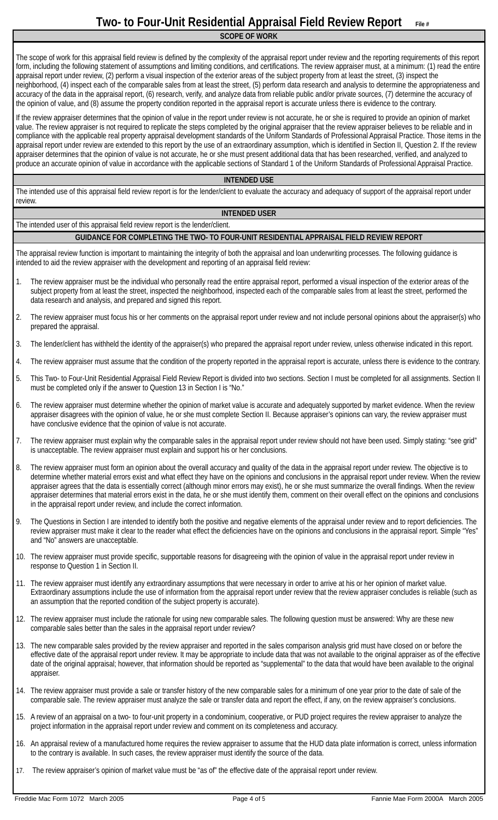**SCOPE OF WORK** 

The scope of work for this appraisal field review is defined by the complexity of the appraisal report under review and the reporting requirements of this report form, including the following statement of assumptions and limiting conditions, and certifications. The review appraiser must, at a minimum: (1) read the entire appraisal report under review, (2) perform a visual inspection of the exterior areas of the subject property from at least the street, (3) inspect the neighborhood, (4) inspect each of the comparable sales from at least the street, (5) perform data research and analysis to determine the appropriateness and accuracy of the data in the appraisal report, (6) research, verify, and analyze data from reliable public and/or private sources, (7) determine the accuracy of the opinion of value, and (8) assume the property condition reported in the appraisal report is accurate unless there is evidence to the contrary.

If the review appraiser determines that the opinion of value in the report under review is not accurate, he or she is required to provide an opinion of market value. The review appraiser is not required to replicate the steps completed by the original appraiser that the review appraiser believes to be reliable and in compliance with the applicable real property appraisal development standards of the Uniform Standards of Professional Appraisal Practice. Those items in the appraisal report under review are extended to this report by the use of an extraordinary assumption, which is identified in Section II, Question 2. If the review appraiser determines that the opinion of value is not accurate, he or she must present additional data that has been researched, verified, and analyzed to produce an accurate opinion of value in accordance with the applicable sections of Standard 1 of the Uniform Standards of Professional Appraisal Practice.

### **INTENDED USE**

The intended use of this appraisal field review report is for the lender/client to evaluate the accuracy and adequacy of support of the appraisal report under review.

### **INTENDED USER**

The intended user of this appraisal field review report is the lender/client.

### **GUIDANCE FOR COMPLETING THE TWO- TO FOUR-UNIT RESIDENTIAL APPRAISAL FIELD REVIEW REPORT**

The appraisal review function is important to maintaining the integrity of both the appraisal and loan underwriting processes. The following guidance is intended to aid the review appraiser with the development and reporting of an appraisal field review:

- 1. The review appraiser must be the individual who personally read the entire appraisal report, performed a visual inspection of the exterior areas of the subject property from at least the street, inspected the neighborhood, inspected each of the comparable sales from at least the street, performed the data research and analysis, and prepared and signed this report.
- 2. The review appraiser must focus his or her comments on the appraisal report under review and not include personal opinions about the appraiser(s) who prepared the appraisal.
- 3. The lender/client has withheld the identity of the appraiser(s) who prepared the appraisal report under review, unless otherwise indicated in this report.
- 4. The review appraiser must assume that the condition of the property reported in the appraisal report is accurate, unless there is evidence to the contrary.
- 5. This Two- to Four-Unit Residential Appraisal Field Review Report is divided into two sections. Section I must be completed for all assignments. Section II must be completed only if the answer to Question 13 in Section I is "No."
- 6. The review appraiser must determine whether the opinion of market value is accurate and adequately supported by market evidence. When the review appraiser disagrees with the opinion of value, he or she must complete Section II. Because appraiser's opinions can vary, the review appraiser must have conclusive evidence that the opinion of value is not accurate.
- 7. The review appraiser must explain why the comparable sales in the appraisal report under review should not have been used. Simply stating: "see grid" is unacceptable. The review appraiser must explain and support his or her conclusions.
- 8. The review appraiser must form an opinion about the overall accuracy and quality of the data in the appraisal report under review. The objective is to determine whether material errors exist and what effect they have on the opinions and conclusions in the appraisal report under review. When the review appraiser agrees that the data is essentially correct (although minor errors may exist), he or she must summarize the overall findings. When the review appraiser determines that material errors exist in the data, he or she must identify them, comment on their overall effect on the opinions and conclusions in the appraisal report under review, and include the correct information.
- 9. The Questions in Section I are intended to identify both the positive and negative elements of the appraisal under review and to report deficiencies. The review appraiser must make it clear to the reader what effect the deficiencies have on the opinions and conclusions in the appraisal report. Simple "Yes" and "No" answers are unacceptable.
- 10. The review appraiser must provide specific, supportable reasons for disagreeing with the opinion of value in the appraisal report under review in response to Question 1 in Section II.
- 11. The review appraiser must identify any extraordinary assumptions that were necessary in order to arrive at his or her opinion of market value. Extraordinary assumptions include the use of information from the appraisal report under review that the review appraiser concludes is reliable (such as an assumption that the reported condition of the subject property is accurate).
- 12. The review appraiser must include the rationale for using new comparable sales. The following question must be answered: Why are these new comparable sales better than the sales in the appraisal report under review?
- 13. The new comparable sales provided by the review appraiser and reported in the sales comparison analysis grid must have closed on or before the effective date of the appraisal report under review. It may be appropriate to include data that was not available to the original appraiser as of the effective date of the original appraisal; however, that information should be reported as "supplemental" to the data that would have been available to the original appraiser.
- 14. The review appraiser must provide a sale or transfer history of the new comparable sales for a minimum of one year prior to the date of sale of the comparable sale. The review appraiser must analyze the sale or transfer data and report the effect, if any, on the review appraiser's conclusions.
- 15. A review of an appraisal on a two- to four-unit property in a condominium, cooperative, or PUD project requires the review appraiser to analyze the project information in the appraisal report under review and comment on its completeness and accuracy.
- 16. An appraisal review of a manufactured home requires the review appraiser to assume that the HUD data plate information is correct, unless information to the contrary is available. In such cases, the review appraiser must identify the source of the data.
- 17. The review appraiser's opinion of market value must be "as of" the effective date of the appraisal report under review.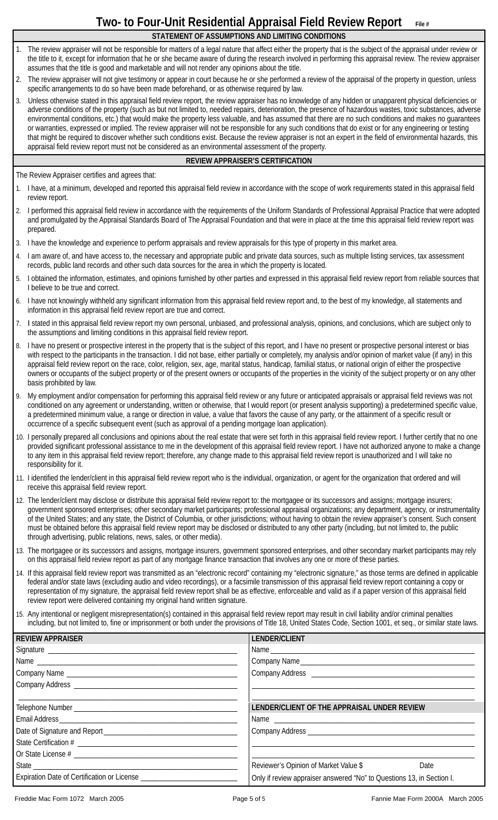**STATEMENT OF ASSUMPTIONS AND LIMITING CONDITIONS** 

- 1. The review appraiser will not be responsible for matters of a legal nature that affect either the property that is the subject of the appraisal under review or the title to it, except for information that he or she became aware of during the research involved in performing this appraisal review. The review appraiser assumes that the title is good and marketable and will not render any opinions about the title.
- 2. The review appraiser will not give testimony or appear in court because he or she performed a review of the appraisal of the property in question, unless specific arrangements to do so have been made beforehand, or as otherwise required by law.
- 3. Unless otherwise stated in this appraisal field review report, the review appraiser has no knowledge of any hidden or unapparent physical deficiencies or adverse conditions of the property (such as but not limited to, needed repairs, deterioration, the presence of hazardous wastes, toxic substances, adverse environmental conditions, etc.) that would make the property less valuable, and has assumed that there are no such conditions and makes no guarantees or warranties, expressed or implied. The review appraiser will not be responsible for any such conditions that do exist or for any engineering or testing that might be required to discover whether such conditions exist. Because the review appraiser is not an expert in the field of environmental hazards, this appraisal field review report must not be considered as an environmental assessment of the property.

### **REVIEW APPRAISER'S CERTIFICATION**

The Review Appraiser certifies and agrees that:

- 1. I have, at a minimum, developed and reported this appraisal field review in accordance with the scope of work requirements stated in this appraisal field review report.
- 2. I performed this appraisal field review in accordance with the requirements of the Uniform Standards of Professional Appraisal Practice that were adopted and promulgated by the Appraisal Standards Board of The Appraisal Foundation and that were in place at the time this appraisal field review report was prepared.
- 3. I have the knowledge and experience to perform appraisals and review appraisals for this type of property in this market area.
- 4. I am aware of, and have access to, the necessary and appropriate public and private data sources, such as multiple listing services, tax assessment records, public land records and other such data sources for the area in which the property is located.
- 5. I obtained the information, estimates, and opinions furnished by other parties and expressed in this appraisal field review report from reliable sources that I believe to be true and correct.
- 6. I have not knowingly withheld any significant information from this appraisal field review report and, to the best of my knowledge, all statements and information in this appraisal field review report are true and correct.
- 7. I stated in this appraisal field review report my own personal, unbiased, and professional analysis, opinions, and conclusions, which are subject only to the assumptions and limiting conditions in this appraisal field review report.
- 8. I have no present or prospective interest in the property that is the subject of this report, and I have no present or prospective personal interest or bias with respect to the participants in the transaction. I did not base, either partially or completely, my analysis and/or opinion of market value (if any) in this appraisal field review report on the race, color, religion, sex, age, marital status, handicap, familial status, or national origin of either the prospective owners or occupants of the subject property or of the present owners or occupants of the properties in the vicinity of the subject property or on any other basis prohibited by law.
- 9. My employment and/or compensation for performing this appraisal field review or any future or anticipated appraisals or appraisal field reviews was not conditioned on any agreement or understanding, written or otherwise, that I would report (or present analysis supporting) a predetermined specific value, a predetermined minimum value, a range or direction in value, a value that favors the cause of any party, or the attainment of a specific result or occurrence of a specific subsequent event (such as approval of a pending mortgage loan application).
- 10. I personally prepared all conclusions and opinions about the real estate that were set forth in this appraisal field review report. I further certify that no one provided significant professional assistance to me in the development of this appraisal field review report. I have not authorized anyone to make a change to any item in this appraisal field review report; therefore, any change made to this appraisal field review report is unauthorized and I will take no responsibility for it.
- 11. I identified the lender/client in this appraisal field review report who is the individual, organization, or agent for the organization that ordered and will receive this appraisal field review report.
- 12. The lender/client may disclose or distribute this appraisal field review report to: the mortgagee or its successors and assigns; mortgage insurers; government sponsored enterprises; other secondary market participants; professional appraisal organizations; any department, agency, or instrumentality of the United States; and any state, the District of Columbia, or other jurisdictions; without having to obtain the review appraiser's consent. Such consent must be obtained before this appraisal field review report may be disclosed or distributed to any other party (including, but not limited to, the public through advertising, public relations, news, sales, or other media).
- 13. The mortgagee or its successors and assigns, mortgage insurers, government sponsored enterprises, and other secondary market participants may rely on this appraisal field review report as part of any mortgage finance transaction that involves any one or more of these parties.
- 14. If this appraisal field review report was transmitted as an "electronic record" containing my "electronic signature," as those terms are defined in applicable federal and/or state laws (excluding audio and video recordings), or a facsimile transmission of this appraisal field review report containing a copy or representation of my signature, the appraisal field review report shall be as effective, enforceable and valid as if a paper version of this appraisal field review report were delivered containing my original hand written signature.
- 15. Any intentional or negligent misrepresentation(s) contained in this appraisal field review report may result in civil liability and/or criminal penalties including, but not limited to, fine or imprisonment or both under the provisions of Title 18, United States Code, Section 1001, et seq., or similar state laws.

| <b>REVIEW APPRAISER</b> | LENDER/CLIENT                                                         |
|-------------------------|-----------------------------------------------------------------------|
|                         |                                                                       |
|                         |                                                                       |
|                         |                                                                       |
|                         |                                                                       |
|                         | LENDER/CLIENT OF THE APPRAISAL UNDER REVIEW                           |
|                         |                                                                       |
|                         |                                                                       |
|                         |                                                                       |
|                         |                                                                       |
|                         | Reviewer's Opinion of Market Value \$ Date                            |
|                         | Only if review appraiser answered "No" to Questions 13, in Section I. |